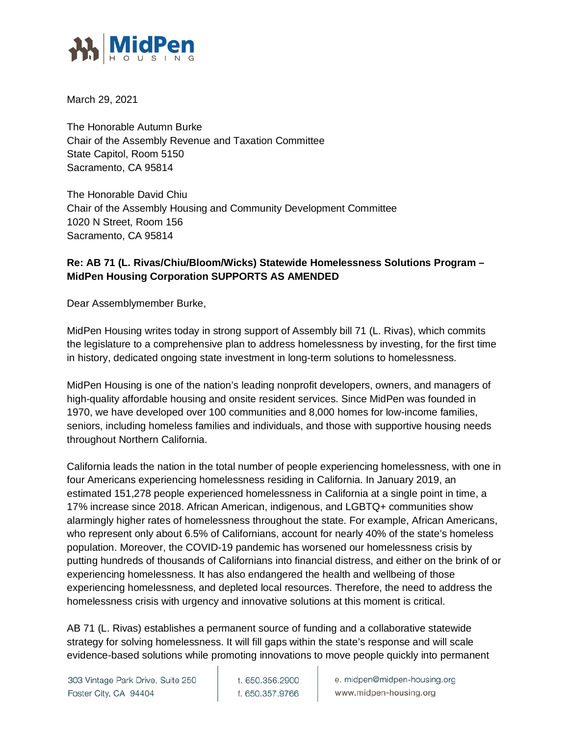

March 29, 2021

The Honorable Autumn Burke Chair of the Assembly Revenue and Taxation Committee State Capitol, Room 5150 Sacramento, CA 95814

The Honorable David Chiu Chair of the Assembly Housing and Community Development Committee 1020 N Street, Room 156 Sacramento, CA 95814

## **Re: AB 71 (L. Rivas/Chiu/Bloom/Wicks) Statewide Homelessness Solutions Program – MidPen Housing Corporation SUPPORTS AS AMENDED**

Dear Assemblymember Burke,

MidPen Housing writes today in strong support of Assembly bill 71 (L. Rivas), which commits the legislature to a comprehensive plan to address homelessness by investing, for the first time in history, dedicated ongoing state investment in long-term solutions to homelessness.

MidPen Housing is one of the nation's leading nonprofit developers, owners, and managers of high-quality affordable housing and onsite resident services. Since MidPen was founded in 1970, we have developed over 100 communities and 8,000 homes for low-income families, seniors, including homeless families and individuals, and those with supportive housing needs throughout Northern California.

California leads the nation in the total number of people experiencing homelessness, with one in four Americans experiencing homelessness residing in California. In January 2019, an estimated 151,278 people experienced homelessness in California at a single point in time, a 17% increase since 2018. African American, indigenous, and LGBTQ+ communities show alarmingly higher rates of homelessness throughout the state. For example, African Americans, who represent only about 6.5% of Californians, account for nearly 40% of the state's homeless population. Moreover, the COVID-19 pandemic has worsened our homelessness crisis by putting hundreds of thousands of Californians into financial distress, and either on the brink of or experiencing homelessness. It has also endangered the health and wellbeing of those experiencing homelessness, and depleted local resources. Therefore, the need to address the homelessness crisis with urgency and innovative solutions at this moment is critical.

AB 71 (L. Rivas) establishes a permanent source of funding and a collaborative statewide strategy for solving homelessness. It will fill gaps within the state's response and will scale evidence-based solutions while promoting innovations to move people quickly into permanent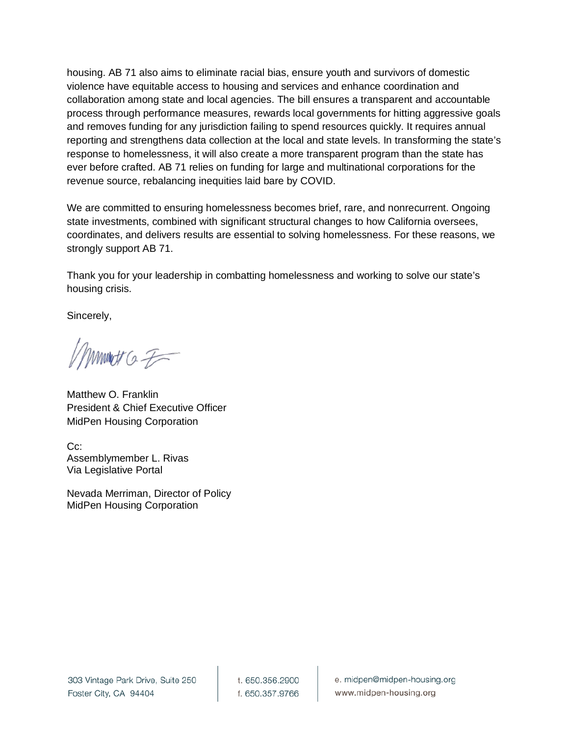housing. AB 71 also aims to eliminate racial bias, ensure youth and survivors of domestic violence have equitable access to housing and services and enhance coordination and collaboration among state and local agencies. The bill ensures a transparent and accountable process through performance measures, rewards local governments for hitting aggressive goals and removes funding for any jurisdiction failing to spend resources quickly. It requires annual reporting and strengthens data collection at the local and state levels. In transforming the state's response to homelessness, it will also create a more transparent program than the state has ever before crafted. AB 71 relies on funding for large and multinational corporations for the revenue source, rebalancing inequities laid bare by COVID.

We are committed to ensuring homelessness becomes brief, rare, and nonrecurrent. Ongoing state investments, combined with significant structural changes to how California oversees, coordinates, and delivers results are essential to solving homelessness. For these reasons, we strongly support AB 71.

Thank you for your leadership in combatting homelessness and working to solve our state's housing crisis.

Sincerely,

mmet a F

Matthew O. Franklin President & Chief Executive Officer MidPen Housing Corporation

Cc: Assemblymember L. Rivas Via Legislative Portal

Nevada Merriman, Director of Policy MidPen Housing Corporation